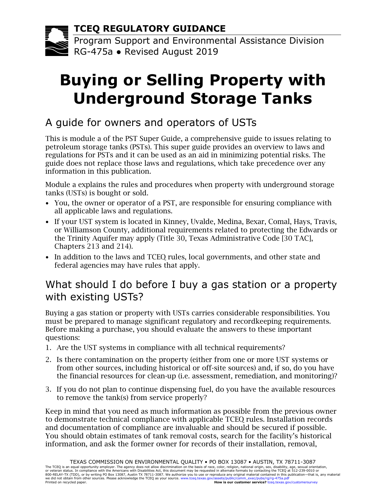**TCEQ REGULATORY GUIDANCE**

Program Support and Environmental Assistance Division RG-475a ● Revised August 2019

# **Buying or Selling Property with Underground Storage Tanks**

## A guide for owners and operators of USTs

This is module a of the PST Super Guide, a comprehensive guide to issues relating to petroleum storage tanks (PSTs). This super guide provides an overview to laws and regulations for PSTs and it can be used as an aid in minimizing potential risks. The guide does not replace those laws and regulations, which take precedence over any information in this publication.

Module a explains the rules and procedures when property with underground storage tanks (USTs) is bought or sold.

- You, the owner or operator of a PST, are responsible for ensuring compliance with all applicable laws and regulations.
- If your UST system is located in Kinney, Uvalde, Medina, Bexar, Comal, Hays, Travis, or Williamson County, additional requirements related to protecting the Edwards or the Trinity Aquifer may apply (Title 30, Texas Administrative Code [30 TAC], Chapters 213 and 214).
- In addition to the laws and TCEQ rules, local governments, and other state and federal agencies may have rules that apply.

## What should I do before I buy a gas station or a property with existing USTs?

Buying a gas station or property with USTs carries considerable responsibilities. You must be prepared to manage significant regulatory and recordkeeping requirements. Before making a purchase, you should evaluate the answers to these important questions:

- 1. Are the UST systems in compliance with all technical requirements?
- 2. Is there contamination on the property (either from one or more UST systems or from other sources, including historical or off-site sources) and, if so, do you have the financial resources for clean-up (i.e. assessment, remediation, and monitoring)?
- 3. If you do not plan to continue dispensing fuel, do you have the available resources to remove the tank(s) from service properly?

Keep in mind that you need as much information as possible from the previous owner to demonstrate technical compliance with applicable TCEQ rules. Installation records and documentation of compliance are invaluable and should be secured if possible. You should obtain estimates of tank removal costs, search for the facility's historical information, and ask the former owner for records of their installation, removal,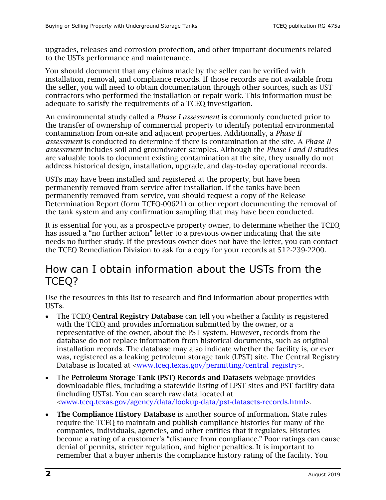upgrades, releases and corrosion protection, and other important documents related to the USTs performance and maintenance.

You should document that any claims made by the seller can be verified with installation, removal, and compliance records. If those records are not available from the seller, you will need to obtain documentation through other sources, such as UST contractors who performed the installation or repair work. This information must be adequate to satisfy the requirements of a TCEQ investigation.

An environmental study called a *Phase I assessment* is commonly conducted prior to the transfer of ownership of commercial property to identify potential environmental contamination from on-site and adjacent properties. Additionally, a *Phase II assessment* is conducted to determine if there is contamination at the site. A *Phase II assessment* includes soil and groundwater samples. Although the *Phase I and II* studies are valuable tools to document existing contamination at the site, they usually do not address historical design, installation, upgrade, and day-to-day operational records.

USTs may have been installed and registered at the property, but have been permanently removed from service after installation. If the tanks have been permanently removed from service, you should request a copy of the Release Determination Report (form TCEQ-00621) or other report documenting the removal of the tank system and any confirmation sampling that may have been conducted.

It is essential for you, as a prospective property owner, to determine whether the TCEQ has issued a "no further action" letter to a previous owner indicating that the site needs no further study. If the previous owner does not have the letter, you can contact the TCEQ Remediation Division to ask for a copy for your records at 512-239-2200.

#### How can I obtain information about the USTs from the TCEQ?

Use the resources in this list to research and find information about properties with USTs.

- The TCEQ Central Registry Database can tell you whether a facility is registered with the TCEQ and provides information submitted by the owner, or a representative of the owner, about the PST system. However, records from the database do not replace information from historical documents, such as original installation records. The database may also indicate whether the facility is, or ever was, registered as a leaking petroleum storage tank (LPST) site. The Central Registry Database is located at [<www.tceq.texas.gov/permitting/central\\_registry>](https://www.tceq.texas.gov/permitting/central_registry).
- The Petroleum Storage Tank (PST) Records and Datasets webpage provides downloadable files, including a statewide listing of LPST sites and PST facility data (including USTs). You can search raw data located at [<www.tceq.texas.gov/agency/data/lookup-data/pst-datasets-records.html>](https://www.tceq.texas.gov/agency/data/lookup-data/pst-datasets-records.html).
- The Compliance History Database is another source of information. State rules require the TCEQ to maintain and publish compliance histories for many of the companies, individuals, agencies, and other entities that it regulates. Histories become a rating of a customer's "distance from compliance." Poor ratings can cause denial of permits, stricter regulation, and higher penalties. It is important to remember that a buyer inherits the compliance history rating of the facility. You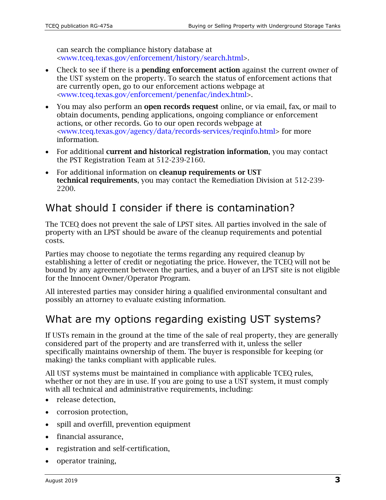can search the compliance history database at [<www.tceq.texas.gov/enforcement/history/search.html>](https://www.tceq.texas.gov/enforcement/history/search.html).

- Check to see if there is a **pending enforcement action** against the current owner of the UST system on the property. To search the status of enforcement actions that are currently open, go to our enforcement actions webpage at [<www.tceq.texas.gov/enforcement/penenfac/index.html>](https://www.tceq.texas.gov/enforcement/penenfac/index.html).
- You may also perform an open records request online, or via email, fax, or mail to obtain documents, pending applications, ongoing compliance or enforcement actions, or other records. Go to our open records webpage at [<www.tceq.texas.gov/agency/data/records-services/reqinfo.html>](https://www.tceq.texas.gov/agency/data/records-services/reqinfo.html) for more information.
- For additional **current and historical registration information**, you may contact the PST Registration Team at 512-239-2160.
- For additional information on cleanup requirements or UST technical requirements, you may contact the Remediation Division at 512-239- 2200.

#### What should I consider if there is contamination?

The TCEQ does not prevent the sale of LPST sites. All parties involved in the sale of property with an LPST should be aware of the cleanup requirements and potential costs.

Parties may choose to negotiate the terms regarding any required cleanup by establishing a letter of credit or negotiating the price. However, the TCEQ will not be bound by any agreement between the parties, and a buyer of an LPST site is not eligible for the Innocent Owner/Operator Program.

All interested parties may consider hiring a qualified environmental consultant and possibly an attorney to evaluate existing information.

#### What are my options regarding existing UST systems?

If USTs remain in the ground at the time of the sale of real property, they are generally considered part of the property and are transferred with it, unless the seller specifically maintains ownership of them. The buyer is responsible for keeping (or making) the tanks compliant with applicable rules.

All UST systems must be maintained in compliance with applicable TCEQ rules, whether or not they are in use. If you are going to use a UST system, it must comply with all technical and administrative requirements, including:

- release detection,
- corrosion protection,
- spill and overfill, prevention equipment
- financial assurance,
- registration and self-certification,
- operator training,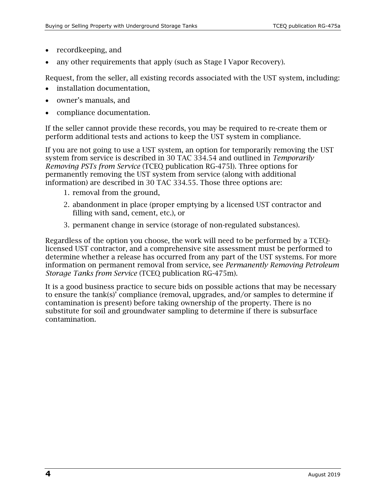- recordkeeping, and
- any other requirements that apply (such as Stage I Vapor Recovery).

Request, from the seller, all existing records associated with the UST system, including:

- installation documentation,
- owner's manuals, and
- compliance documentation.

If the seller cannot provide these records, you may be required to re-create them or perform additional tests and actions to keep the UST system in compliance.

If you are not going to use a UST system, an option for temporarily removing the UST system from service is described in 30 TAC 334.54 and outlined in *Temporarily Removing PSTs from Service* (TCEQ publication RG-475l). Three options for permanently removing the UST system from service (along with additional information) are described in 30 TAC 334.55. Those three options are:

- 1. removal from the ground,
- 2. abandonment in place (proper emptying by a licensed UST contractor and filling with sand, cement, etc.), or
- 3. permanent change in service (storage of non-regulated substances).

Regardless of the option you choose, the work will need to be performed by a TCEQlicensed UST contractor, and a comprehensive site assessment must be performed to determine whether a release has occurred from any part of the UST systems. For more information on permanent removal from service, see *Permanently Removing Petroleum Storage Tanks from Service* (TCEQ publication RG-475m).

It is a good business practice to secure bids on possible actions that may be necessary to ensure the tank(s)' compliance (removal, upgrades, and/or samples to determine if contamination is present) before taking ownership of the property. There is no substitute for soil and groundwater sampling to determine if there is subsurface contamination.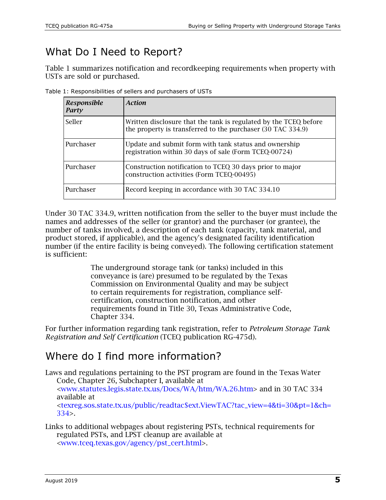## What Do I Need to Report?

Table 1 summarizes notification and recordkeeping requirements when property with USTs are sold or purchased.

|  | Table 1: Responsibilities of sellers and purchasers of USTs |  |  |  |
|--|-------------------------------------------------------------|--|--|--|
|  |                                                             |  |  |  |

| <b>Responsible</b><br>Party | Action                                                                                                                          |  |  |  |  |
|-----------------------------|---------------------------------------------------------------------------------------------------------------------------------|--|--|--|--|
| Seller                      | Written disclosure that the tank is regulated by the TCEQ before<br>the property is transferred to the purchaser (30 TAC 334.9) |  |  |  |  |
| Purchaser                   | Update and submit form with tank status and ownership<br>registration within 30 days of sale (Form TCEQ-00724)                  |  |  |  |  |
| Purchaser                   | Construction notification to TCEQ 30 days prior to major<br>construction activities (Form TCEQ-00495)                           |  |  |  |  |
| Purchaser                   | Record keeping in accordance with 30 TAC 334.10                                                                                 |  |  |  |  |

Under 30 TAC 334.9, written notification from the seller to the buyer must include the names and addresses of the seller (or grantor) and the purchaser (or grantee), the number of tanks involved, a description of each tank (capacity, tank material, and product stored, if applicable), and the agency's designated facility identification number (if the entire facility is being conveyed). The following certification statement is sufficient:

> The underground storage tank (or tanks) included in this conveyance is (are) presumed to be regulated by the Texas Commission on Environmental Quality and may be subject to certain requirements for registration, compliance selfcertification, construction notification, and other requirements found in Title 30, Texas Administrative Code, Chapter 334.

For further information regarding tank registration, refer to *Petroleum Storage Tank Registration and Self Certification* (TCEQ publication RG-475d).

## Where do I find more information?

- Laws and regulations pertaining to the PST program are found in the Texas Water Code, Chapter 26, Subchapter I, available at [<www.statutes.legis.state.tx.us/Docs/WA/htm/WA.26.htm>](http://www.statutes.legis.state.tx.us/Docs/WA/htm/WA.26.htm) and in 30 TAC 334 available at [<texreg.sos.state.tx.us/public/readtac\\$ext.ViewTAC?tac\\_view=4&ti=30&pt=1&ch=](http://texreg.sos.state.tx.us/public/readtac$ext.ViewTAC?tac_view=4&ti=30&pt=1&ch=334) [334>](http://texreg.sos.state.tx.us/public/readtac$ext.ViewTAC?tac_view=4&ti=30&pt=1&ch=334).
- Links to additional webpages about registering PSTs, technical requirements for regulated PSTs, and LPST cleanup are available at [<www.tceq.texas.gov/agency/pst\\_cert.html>](https://www.tceq.texas.gov/agency/pst_cert.html).